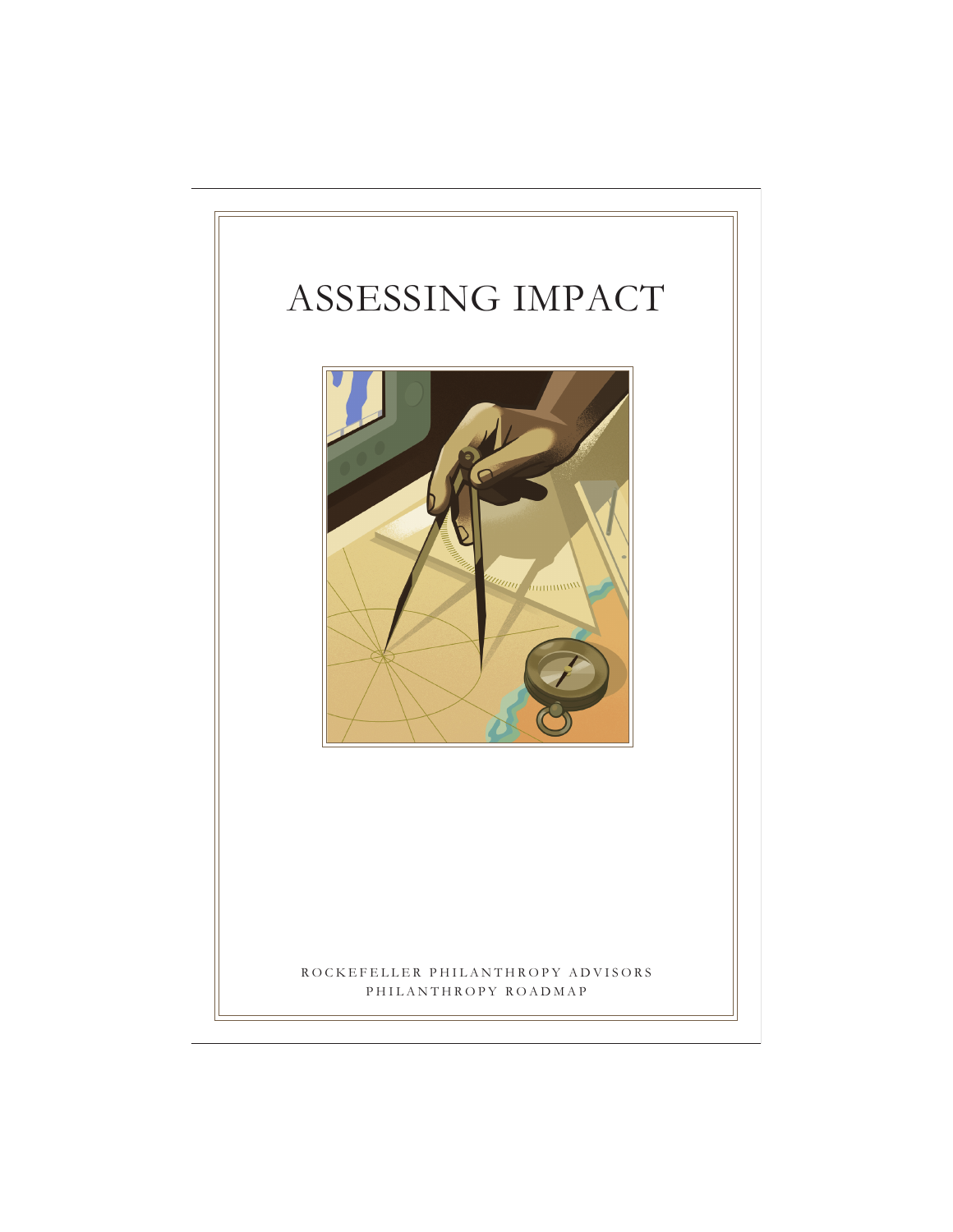# ASSESSING IMPACT



ROCKEFELLER PHILANTHROPY ADVISORS PHILANTHROPY ROADMAP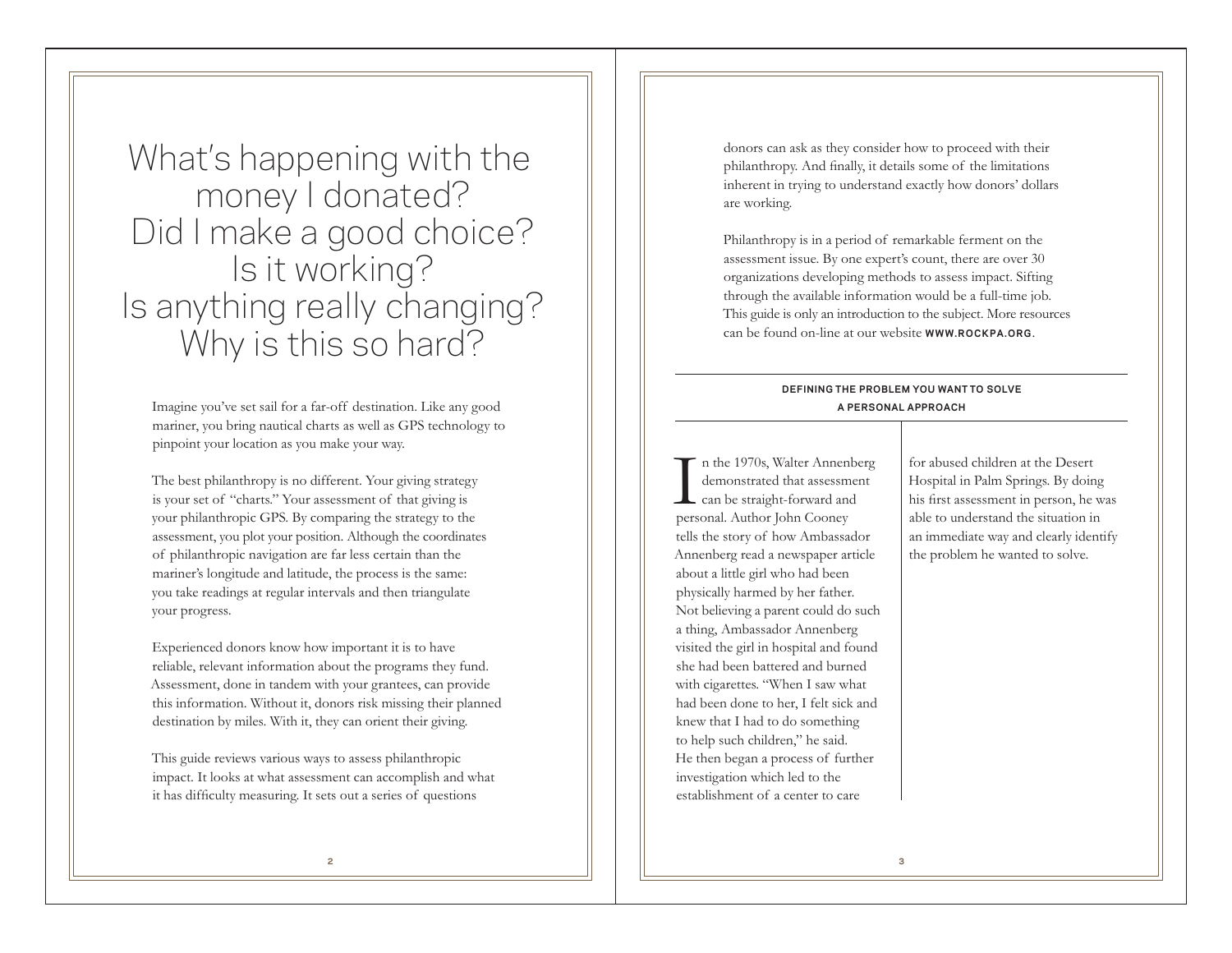What's happening with the money I donated? Did I make a good choice? Is it working? Is anything really changing? Why is this so hard?

Imagine you've set sail for a far-off destination. Like any good mariner, you bring nautical charts as well as GPS technology to pinpoint your location as you make your way.

The best philanthropy is no different. Your giving strategy is your set of "charts." Your assessment of that giving is your philanthropic GPS. By comparing the strategy to the assessment, you plot your position. Although the coordinates of philanthropic navigation are far less certain than the mariner's longitude and latitude, the process is the same: you take readings at regular intervals and then triangulate your progress.

Experienced donors know how important it is to have reliable, relevant information about the programs they fund. Assessment, done in tandem with your grantees, can provide this information. Without it, donors risk missing their planned destination by miles. With it, they can orient their giving.

This guide reviews various ways to assess philanthropic impact. It looks at what assessment can accomplish and what it has difficulty measuring. It sets out a series of questions

donors can ask as they consider how to proceed with their philanthropy. And finally, it details some of the limitations inherent in trying to understand exactly how donors' dollars are working.

Philanthropy is in a period of remarkable ferment on the assessment issue. By one expert's count, there are over 30 organizations developing methods to assess impact. Sifting through the available information would be a full-time job. This guide is only an introduction to the subject. More resources can be found on-line at our website **WWW.ROCKPA.ORG**.

# **DEFINING THE PROBLEM YOU WANT TO SOLVE A PERSONAL APPROACH**

I n the 1970s, Walter Annenberg demonstrated that assessment can be straight-forward and personal. Author John Cooney tells the story of how Ambassador Annenberg read a newspaper article about a little girl who had been physically harmed by her father. Not believing a parent could do such a thing, Ambassador Annenberg visited the girl in hospital and found she had been battered and burned with cigarettes. "When I saw what had been done to her, I felt sick and knew that I had to do something to help such children," he said. He then began a process of further investigation which led to the establishment of a center to care

for abused children at the Desert Hospital in Palm Springs. By doing his first assessment in person, he was able to understand the situation in an immediate way and clearly identify the problem he wanted to solve.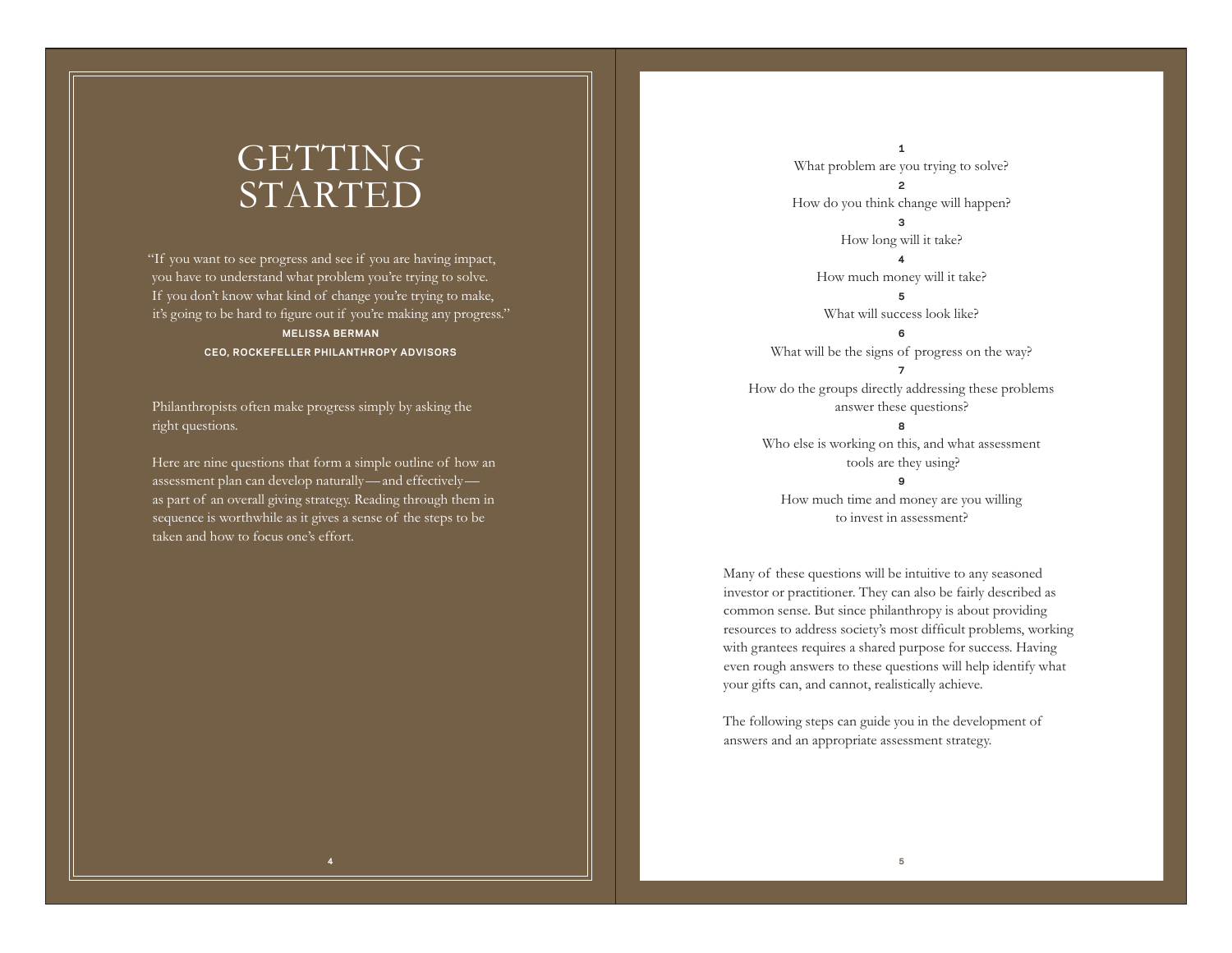# GETTING STARTED

"If you want to see progress and see if you are having impact, you have to understand what problem you're trying to solve. If you don't know what kind of change you're trying to make, it's going to be hard to figure out if you're making any progress." **MELISSA BERMAN CEO, ROCKEFELLER PHILANTHROPY ADVISORS**

Philanthropists often make progress simply by asking the right questions.

Here are nine questions that form a simple outline of how an assessment plan can develop naturally—and effectively as part of an overall giving strategy. Reading through them in sequence is worthwhile as it gives a sense of the steps to be taken and how to focus one's effort.

**1** What problem are you trying to solve? **2** How do you think change will happen? **3** How long will it take? **4** How much money will it take? **5** What will success look like? **6** What will be the signs of progress on the way? **7** How do the groups directly addressing these problems answer these questions? **8** Who else is working on this, and what assessment tools are they using?

**9** How much time and money are you willing to invest in assessment?

Many of these questions will be intuitive to any seasoned investor or practitioner. They can also be fairly described as common sense. But since philanthropy is about providing resources to address society's most difficult problems, working with grantees requires a shared purpose for success. Having even rough answers to these questions will help identify what your gifts can, and cannot, realistically achieve.

The following steps can guide you in the development of answers and an appropriate assessment strategy.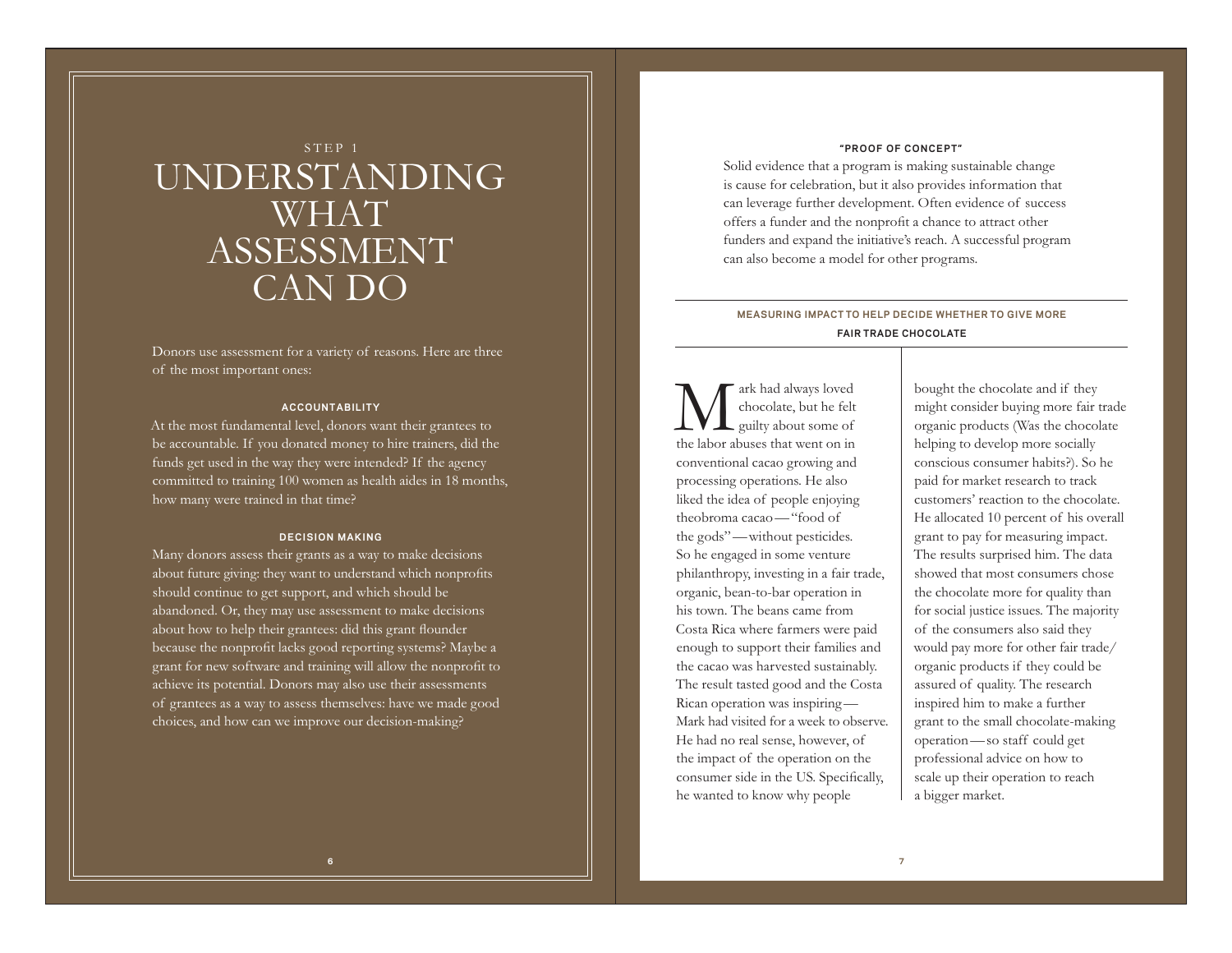# STEP 1 UNDERSTANDING WHAT ASSESSMENT CAN DO

Donors use assessment for a variety of reasons. Here are three of the most important ones:

# **ACCOUNTABILITY**

At the most fundamental level, donors want their grantees to be accountable. If you donated money to hire trainers, did the funds get used in the way they were intended? If the agency committed to training 100 women as health aides in 18 months, how many were trained in that time?

### **DEC IS ION MAK ING**

Many donors assess their grants as a way to make decisions about future giving: they want to understand which nonprofits should continue to get support, and which should be abandoned. Or, they may use assessment to make decisions about how to help their grantees: did this grant flounder because the nonprofit lacks good reporting systems? Maybe a grant for new software and training will allow the nonprofit to achieve its potential. Donors may also use their assessments of grantees as a way to assess themselves: have we made good choices, and how can we improve our decision-making?

#### **"PROOF OF CONCEPT"**

Solid evidence that a program is making sustainable change is cause for celebration, but it also provides information that can leverage further development. Often evidence of success offers a funder and the nonprofit a chance to attract other funders and expand the initiative's reach. A successful program can also become a model for other programs.

# **MEASURING IMPACT TO HELP DECIDE WHETHER TO GIVE MORE FAIR TRADE CHOCOLATE**

Mark had always loved chocolate, but he felt guilty about some of the labor abuses that went on in conventional cacao growing and processing operations. He also liked the idea of people enjoying theobroma cacao—"food of the gods"—without pesticides. So he engaged in some venture philanthropy, investing in a fair trade, organic, bean-to-bar operation in his town. The beans came from Costa Rica where farmers were paid enough to support their families and the cacao was harvested sustainably. The result tasted good and the Costa Rican operation was inspiring— Mark had visited for a week to observe. He had no real sense, however, of the impact of the operation on the consumer side in the US. Specifically, he wanted to know why people

bought the chocolate and if they might consider buying more fair trade organic products (Was the chocolate helping to develop more socially conscious consumer habits?). So he paid for market research to track customers' reaction to the chocolate. He allocated 10 percent of his overall grant to pay for measuring impact. The results surprised him. The data showed that most consumers chose the chocolate more for quality than for social justice issues. The majority of the consumers also said they would pay more for other fair trade/ organic products if they could be assured of quality. The research inspired him to make a further grant to the small chocolate-making operation—so staff could get professional advice on how to scale up their operation to reach a bigger market.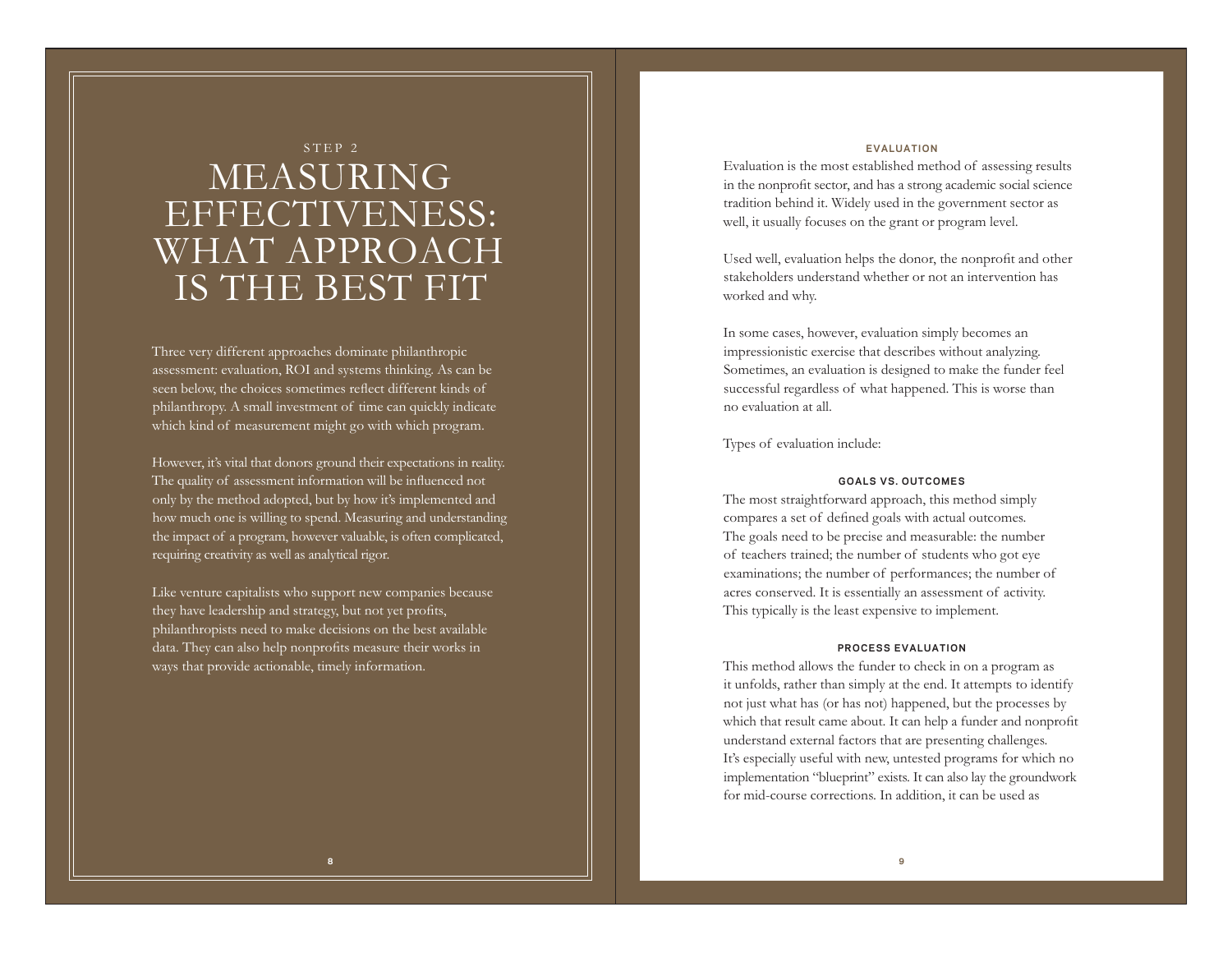# STEP 2 MEASURING EFFECTIVENESS: WHAT APPROACH IS THE BEST FIT

Three very different approaches dominate philanthropic assessment: evaluation, ROI and systems thinking. As can be seen below, the choices sometimes reflect different kinds of philanthropy. A small investment of time can quickly indicate which kind of measurement might go with which program.

However, it's vital that donors ground their expectations in reality. The quality of assessment information will be influenced not only by the method adopted, but by how it's implemented and how much one is willing to spend. Measuring and understanding the impact of a program, however valuable, is often complicated, requiring creativity as well as analytical rigor.

Like venture capitalists who support new companies because they have leadership and strategy, but not yet profits, philanthropists need to make decisions on the best available data. They can also help nonprofits measure their works in ways that provide actionable, timely information.

## **EVALUATION**

Evaluation is the most established method of assessing results in the nonprofit sector, and has a strong academic social science tradition behind it. Widely used in the government sector as well, it usually focuses on the grant or program level.

Used well, evaluation helps the donor, the nonprofit and other stakeholders understand whether or not an intervention has worked and why.

In some cases, however, evaluation simply becomes an impressionistic exercise that describes without analyzing. Sometimes, an evaluation is designed to make the funder feel successful regardless of what happened. This is worse than no evaluation at all.

Types of evaluation include:

## **GOALS VS. OUTCOMES**

The most straightforward approach, this method simply compares a set of defined goals with actual outcomes. The goals need to be precise and measurable: the number of teachers trained; the number of students who got eye examinations; the number of performances; the number of acres conserved. It is essentially an assessment of activity. This typically is the least expensive to implement.

### **PROCESS EVALUATION**

This method allows the funder to check in on a program as it unfolds, rather than simply at the end. It attempts to identify not just what has (or has not) happened, but the processes by which that result came about. It can help a funder and nonprofit understand external factors that are presenting challenges. It's especially useful with new, untested programs for which no implementation "blueprint" exists. It can also lay the groundwork for mid-course corrections. In addition, it can be used as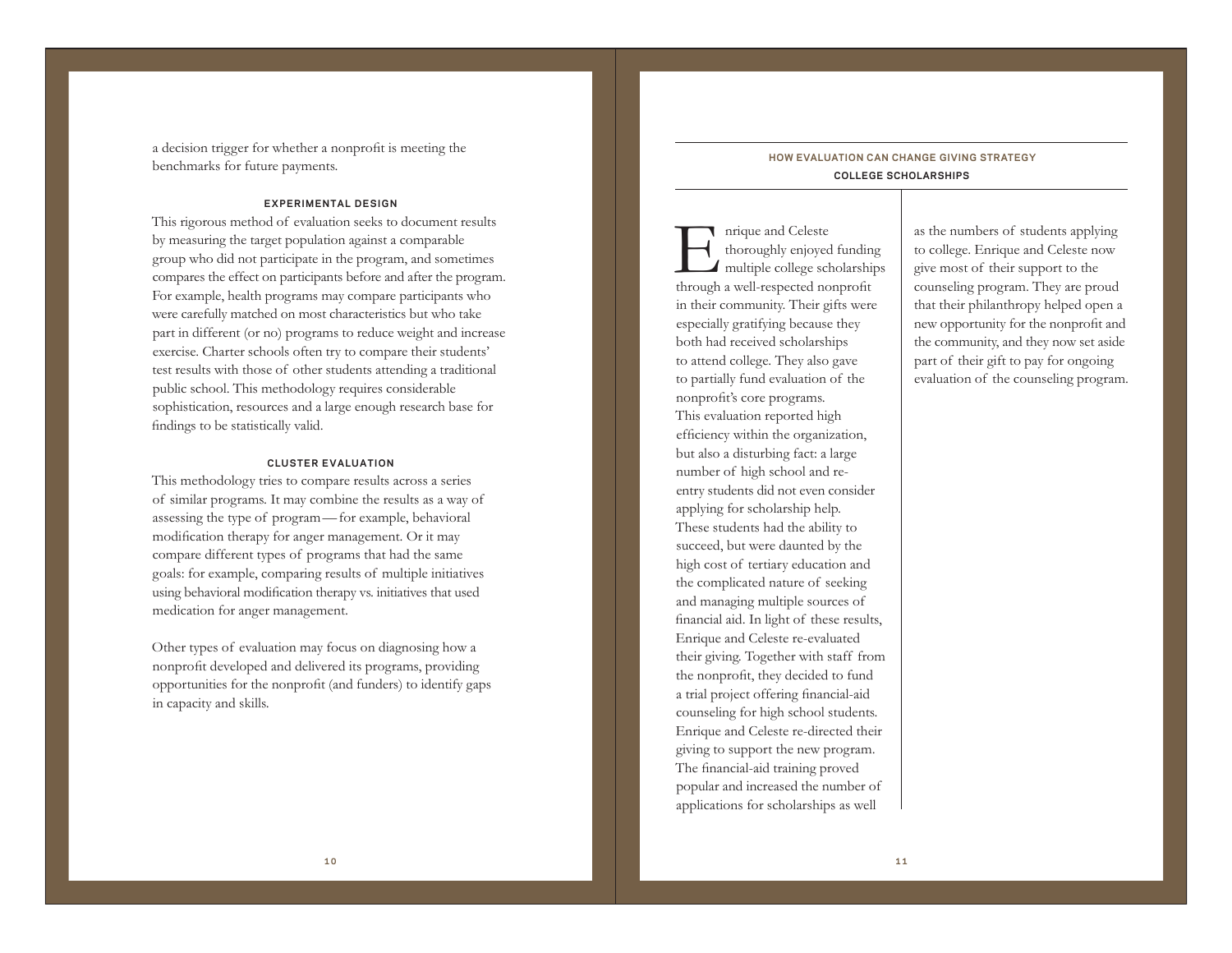a decision trigger for whether a nonprofit is meeting the benchmarks for future payments.

## **EXPERIMENTAL DESIGN**

This rigorous method of evaluation seeks to document results by measuring the target population against a comparable group who did not participate in the program, and sometimes compares the effect on participants before and after the program. For example, health programs may compare participants who were carefully matched on most characteristics but who take part in different (or no) programs to reduce weight and increase exercise. Charter schools often try to compare their students' test results with those of other students attending a traditional public school. This methodology requires considerable sophistication, resources and a large enough research base for findings to be statistically valid.

## **CLUSTER EVALUATION**

This methodology tries to compare results across a series of similar programs. It may combine the results as a way of assessing the type of program —for example, behavioral modification therapy for anger management. Or it may compare different types of programs that had the same goals: for example, comparing results of multiple initiatives using behavioral modification therapy vs. initiatives that used medication for anger management.

Other types of evaluation may focus on diagnosing how a nonprofit developed and delivered its programs, providing opportunities for the nonprofit (and funders) to identify gaps in capacity and skills.

# **HOW EVALUATION CAN CHANGE GIVING STRATEGY COLLEGE SCHOLARSHIPS**

**I** nrique and Celeste<br>thoroughly enjoyed funding<br>**I** multiple college scholarships through a well-respected nonprofit in their community. Their gifts were especially gratifying because they both had received scholarships to attend college. They also gave to partially fund evaluation of the nonprofit's core programs. This evaluation reported high efficiency within the organization, but also a disturbing fact: a large number of high school and reentry students did not even consider applying for scholarship help. These students had the ability to succeed, but were daunted by the high cost of tertiary education and the complicated nature of seeking and managing multiple sources of financial aid. In light of these results, Enrique and Celeste re-evaluated their giving. Together with staff from the nonprofit, they decided to fund a trial project offering financial-aid counseling for high school students. Enrique and Celeste re-directed their giving to support the new program. The financial-aid training proved popular and increased the number of applications for scholarships as well

as the numbers of students applying to college. Enrique and Celeste now give most of their support to the counseling program. They are proud that their philanthropy helped open a new opportunity for the nonprofit and the community, and they now set aside part of their gift to pay for ongoing evaluation of the counseling program.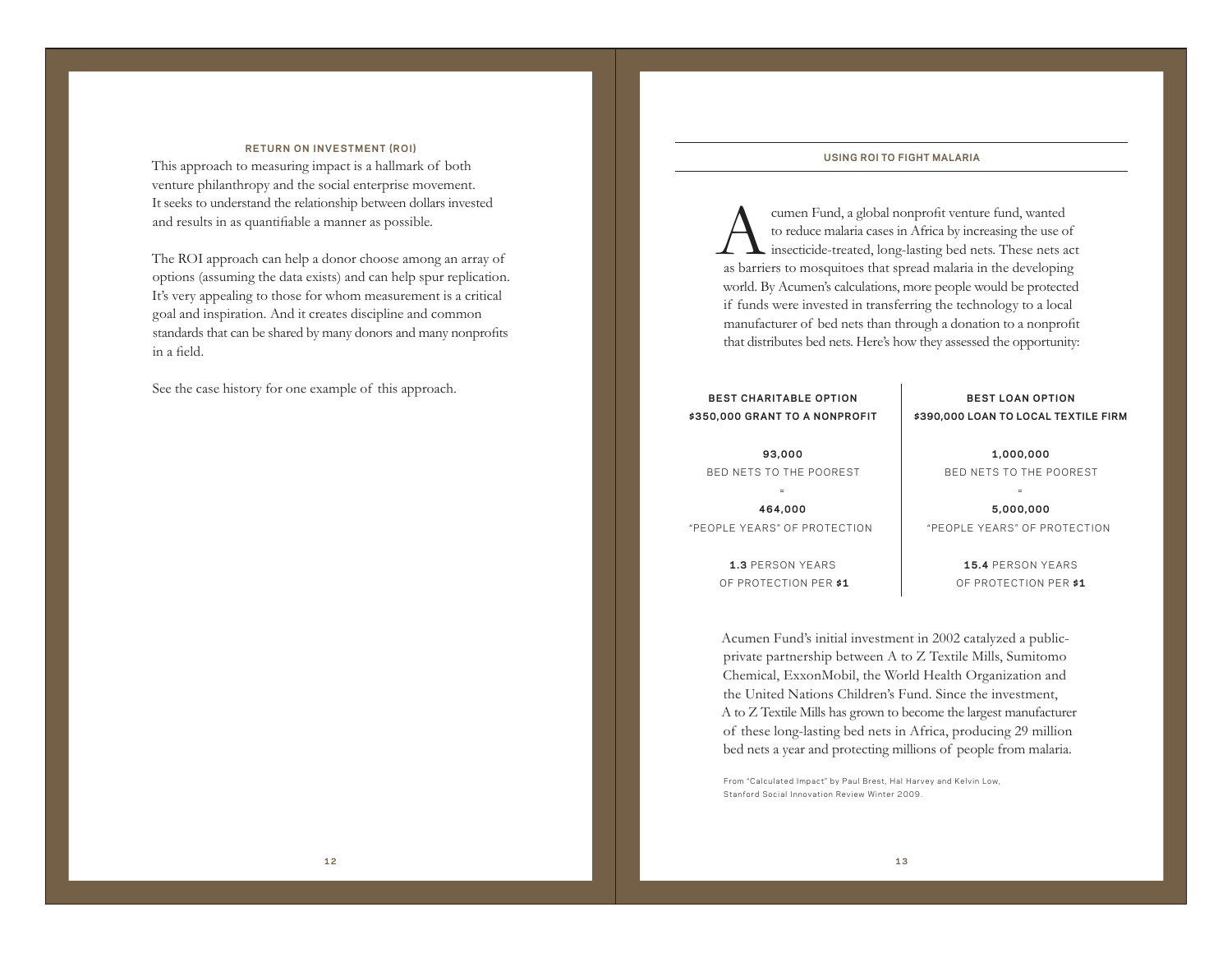### **USING ROI TO FIGHT MALARIA**

Acumen Fund, a global nonprofit venture fund, wanted to reduce malaria cases in Africa by increasing the use of insecticide-treated, long-lasting bed nets. These nets act as barriers to mosquitoes that spread malaria in the developing world. By Acumen's calculations, more people would be protected if funds were invested in transferring the technology to a local manufacturer of bed nets than through a donation to a nonprofit that distributes bed nets. Here's how they assessed the opportunity:

# **\$350,000 GRANT TO A NONPROFIT**

# **BEST LOAN OPTION \$390,000 LOAN TO LOCAL TEXTILE FIRM**

**93,000**  BED NETS TO THE POOREST

**464,000**  "PEOPLE YEARS" OF PROTECTION

> **1.3** PERSON YEARS OF PROTECTION PER **\$1**

**1,000,000** BED NETS TO THE POOREST

**5,000,000** "PEOPLE YEARS" OF PROTECTION

> **15.4** PERSON YEARS OF PROTECTION PER **\$1**

Acumen Fund's initial investment in 2002 catalyzed a publicprivate partnership between A to Z Textile Mills, Sumitomo Chemical, ExxonMobil, the World Health Organization and the United Nations Children's Fund. Since the investment, A to Z Textile Mills has grown to become the largest manufacturer of these long-lasting bed nets in Africa, producing 29 million bed nets a year and protecting millions of people from malaria.

From "Calculated Impact" by Paul Brest, Hal Harvey and Kelvin Low, Stanford Social Innovation Review Winter 2009.

#### **RETURN ON INVESTMENT (ROI)**

This approach to measuring impact is a hallmark of both venture philanthropy and the social enterprise movement. It seeks to understand the relationship between dollars invested and results in as quantifiable a manner as possible.

The ROI approach can help a donor choose among an array of options (assuming the data exists) and can help spur replication. It's very appealing to those for whom measurement is a critical goal and inspiration. And it creates discipline and common standards that can be shared by many donors and many nonprofits in a field.

See the case history for one example of this approach. **BEST CHARITABLE OPTION**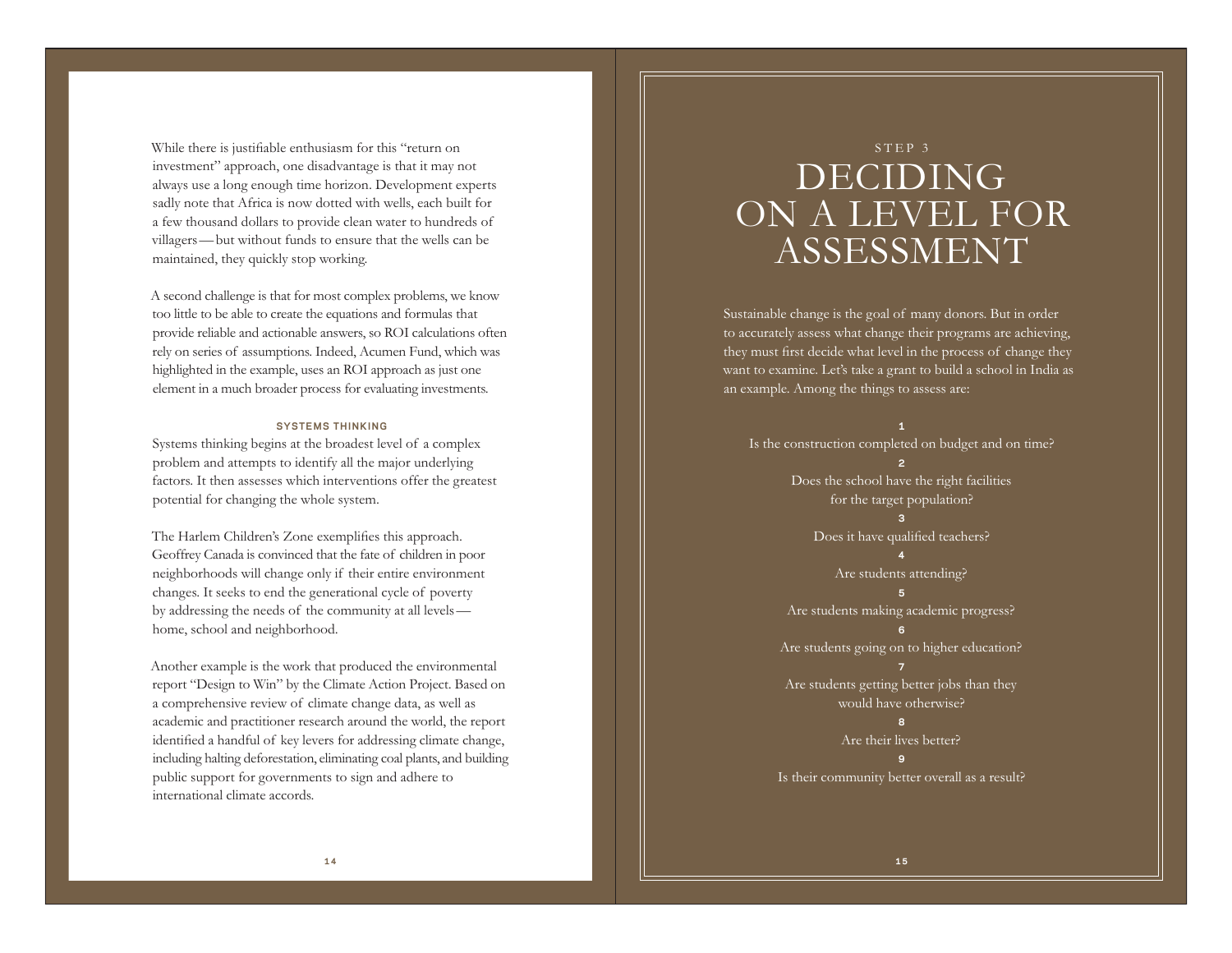While there is justifiable enthusiasm for this "return on investment" approach, one disadvantage is that it may not always use a long enough time horizon. Development experts sadly note that Africa is now dotted with wells, each built for a few thousand dollars to provide clean water to hundreds of villagers—but without funds to ensure that the wells can be maintained, they quickly stop working.

A second challenge is that for most complex problems, we know too little to be able to create the equations and formulas that provide reliable and actionable answers, so ROI calculations often rely on series of assumptions. Indeed, Acumen Fund, which was highlighted in the example, uses an ROI approach as just one element in a much broader process for evaluating investments.

### **SYSTEMS THINKING**

Systems thinking begins at the broadest level of a complex problem and attempts to identify all the major underlying factors. It then assesses which interventions offer the greatest potential for changing the whole system.

The Harlem Children's Zone exemplifies this approach. Geoffrey Canada is convinced that the fate of children in poor neighborhoods will change only if their entire environment changes. It seeks to end the generational cycle of poverty by addressing the needs of the community at all levels home, school and neighborhood.

Another example is the work that produced the environmental report "Design to Win" by the Climate Action Project. Based on a comprehensive review of climate change data, as well as academic and practitioner research around the world, the report identified a handful of key levers for addressing climate change, including halting deforestation, eliminating coal plants, and building public support for governments to sign and adhere to international climate accords.

# STEP 3 DECIDING ON A LEVEL FOR ASSESSMENT

Sustainable change is the goal of many donors. But in order to accurately assess what change their programs are achieving, they must first decide what level in the process of change they want to examine. Let's take a grant to build a school in India as an example. Among the things to assess are:

**1** Is the construction completed on budget and on time? **2** Does the school have the right facilities for the target population? **3** Does it have qualified teachers? **4** Are students attending? **5** Are students making academic progress? **6** Are students going on to higher education? **7** Are students getting better jobs than they would have otherwise? **8** Are their lives better? **9** Is their community better overall as a result?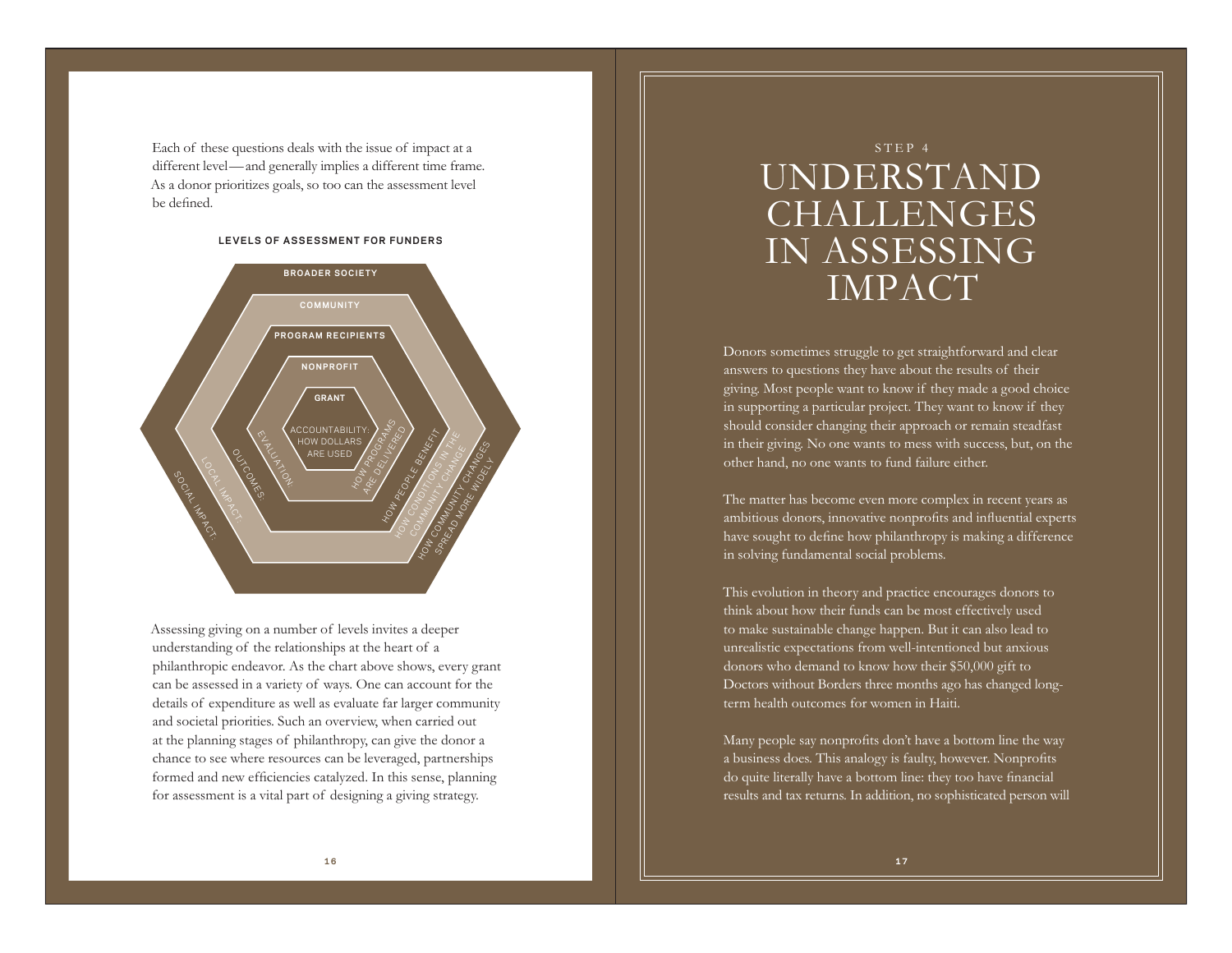Each of these questions deals with the issue of impact at a different level —and generally implies a different time frame. As a donor prioritizes goals, so too can the assessment level be defined.

#### **LEVELS OF ASSESSMENT FOR FUNDERS**



Assessing giving on a number of levels invites a deeper understanding of the relationships at the heart of <sup>a</sup> philanthropic endeavor. As the chart above shows, every grant can be assessed in a variety of ways. One can account for the details of expenditure as well as evaluate far larger community and societal priorities. Such an overview, when carried out at the planning stages of philanthropy, can give the donor a chance to see where resources can be leveraged, partnerships formed and new efficiencies catalyzed. In this sense, planning for assessment is a vital part of designing a giving strategy.

# STEP 4 UNDERSTAND CHALLENGES IN ASSESSING IMPACT

Donors sometimes struggle to get straightforward and clear answers to questions they have about the results of their giving. Most people want to know if they made a good choice in supporting a particular project. They want to know if they should consider changing their approach or remain steadfast in their giving. No one wants to mess with success, but, on the other hand, no one wants to fund failure either.

The matter has become even more complex in recent years as ambitious donors, innovative nonprofits and influential experts have sought to define how philanthropy is making a difference in solving fundamental social problems.

This evolution in theory and practice encourages donors to think about how their funds can be most effectively used to make sustainable change happen. But it can also lead to unrealistic expectations from well-intentioned but anxious donors who demand to know how their \$50,000 gift to Doctors without Borders three months ago has changed longterm health outcomes for women in Haiti.

Many people say nonprofits don't have a bottom line the way a business does. This analogy is faulty, however. Nonprofits do quite literally have a bottom line: they too have financial results and tax returns. In addition, no sophisticated person will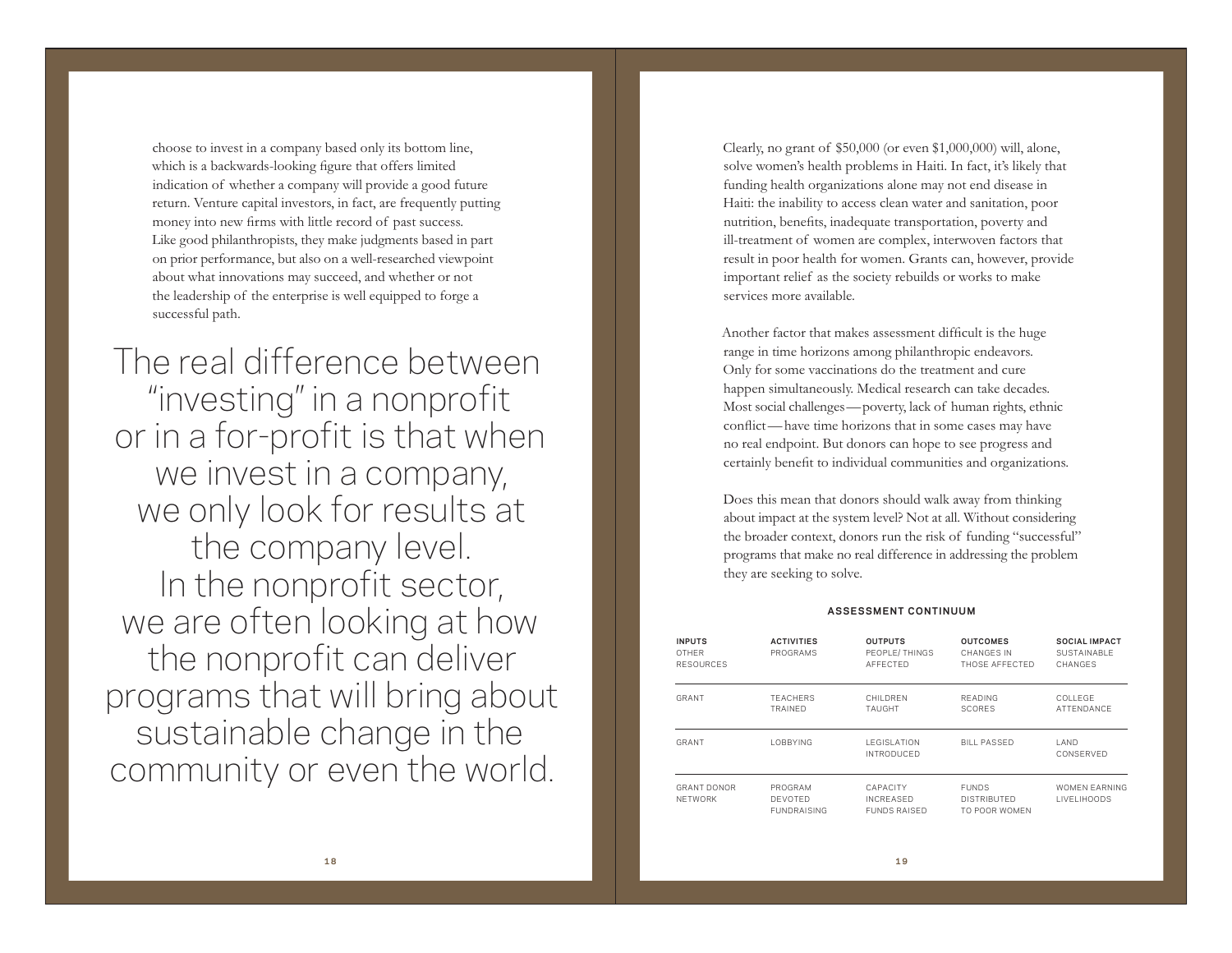choose to invest in a company based only its bottom line, which is a backwards-looking figure that offers limited indication of whether a company will provide a good future return. Venture capital investors, in fact, are frequently putting money into new firms with little record of past success. Like good philanthropists, they make judgments based in part on prior performance, but also on a well-researched viewpoint about what innovations may succeed, and whether or not the leadership of the enterprise is well equipped to forge a successful path.

The real difference between "investing" in a nonprofit or in a for-profit is that when we invest in a company, we only look for results at the company level. In the nonprofit sector, we are often looking at how the nonprofit can deliver programs that will bring about sustainable change in the community or even the world.

Clearly, no grant of \$50,000 (or even \$1,000,000) will, alone, solve women's health problems in Haiti. In fact, it's likely that funding health organizations alone may not end disease in Haiti: the inability to access clean water and sanitation, poor nutrition, benefits, inadequate transportation, poverty and ill-treatment of women are complex, interwoven factors that result in poor health for women. Grants can, however, provide important relief as the society rebuilds or works to make services more available.

Another factor that makes assessment difficult is the huge range in time horizons among philanthropic endeavors. Only for some vaccinations do the treatment and cure happen simultaneously. Medical research can take decades. Most social challenges—poverty, lack of human rights, ethnic conflict—have time horizons that in some cases may have no real endpoint. But donors can hope to see progress and certainly benefit to individual communities and organizations.

Does this mean that donors should walk away from thinking about impact at the system level? Not at all. Without considering the broader context, donors run the risk of funding "successful" programs that make no real difference in addressing the problem they are seeking to solve.

## **ASSESSMENT CONTINUUM**

| <b>INPUTS</b><br>OTHER<br><b>RESOURCES</b> | <b>ACTIVITIES</b><br>PROGRAMS                   | <b>OUTPUTS</b><br>PEOPLE/THINGS<br>AFFECTED         | <b>OUTCOMES</b><br>CHANGES IN<br>THOSE AFFECTED     | <b>SOCIAL IMPACT</b><br>SUSTAINABLE<br>CHANGES |
|--------------------------------------------|-------------------------------------------------|-----------------------------------------------------|-----------------------------------------------------|------------------------------------------------|
| GRANT                                      | <b>TFACHERS</b><br>TRAINED                      | CHII DREN<br>TAUGHT                                 | READING<br><b>SCORES</b>                            | COLLEGE.<br>ATTENDANCE                         |
| GRANT                                      | <b>LOBBYING</b>                                 | <b>LEGISLATION</b><br><b>INTRODUCED</b>             | <b>BILL PASSED</b>                                  | I AND<br>CONSERVED                             |
| <b>GRANT DONOR</b><br>NFTWORK              | PROGRAM<br><b>DEVOTED</b><br><b>FUNDRAISING</b> | CAPACITY<br><b>INCREASED</b><br><b>FUNDS RAISED</b> | <b>FUNDS</b><br><b>DISTRIBUTED</b><br>TO POOR WOMEN | WOMEN FARNING<br><b>LIVELIHOODS</b>            |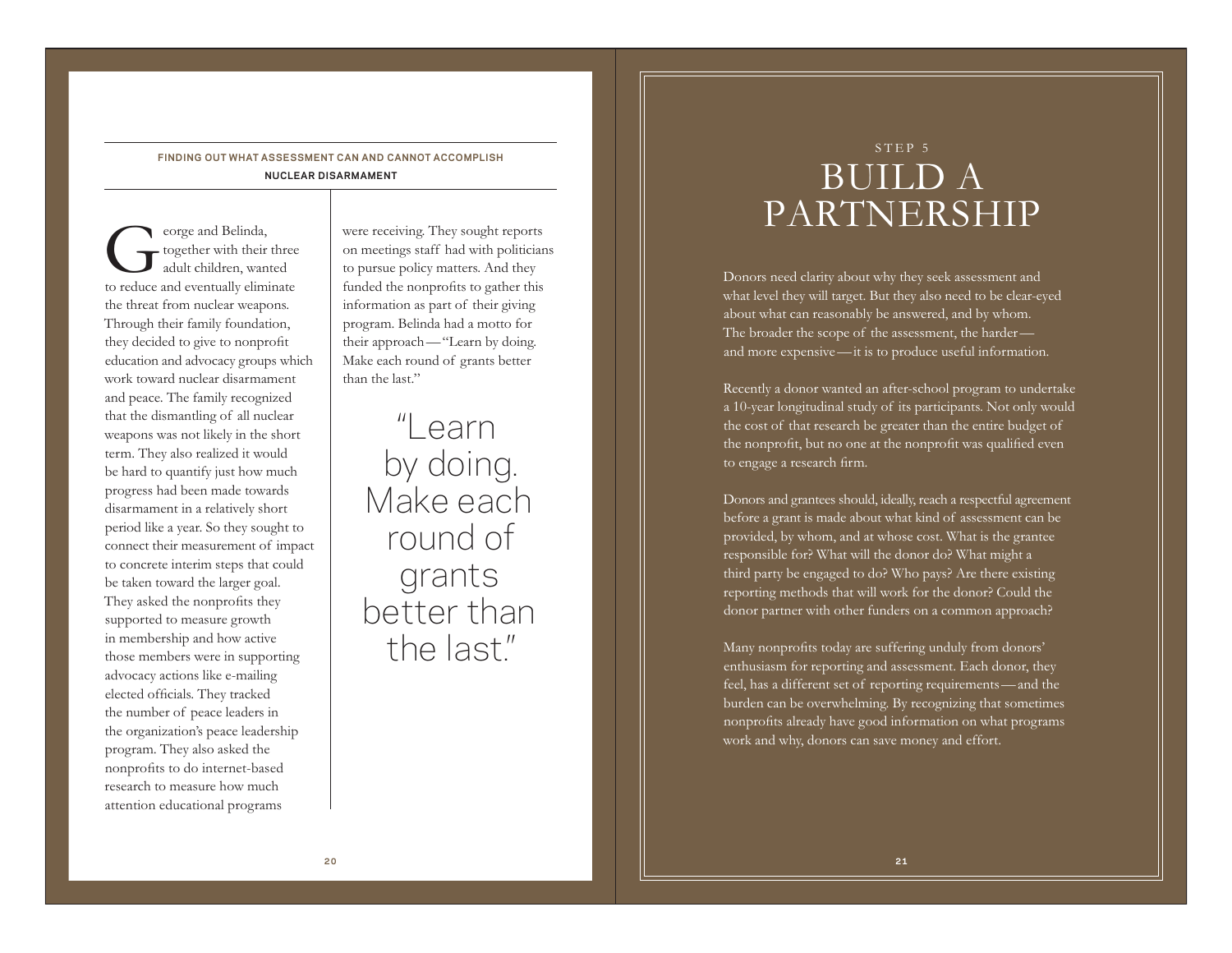# **FINDING OUT WHAT ASSESSMENT CAN AND CANNOT ACCOMPLISH NUCLEAR DISARMAMENT**

eorge and Belinda,<br>together with their three<br>adult children, wanted to reduce and eventually eliminate the threat from nuclear weapons. Through their family foundation, they decided to give to nonprofit education and advocacy groups which work toward nuclear disarmament and peace. The family recognized that the dismantling of all nuclear weapons was not likely in the short term. They also realized it would be hard to quantify just how much progress had been made towards disarmament in a relatively short period like a year. So they sought to connect their measurement of impact to concrete interim steps that could be taken toward the larger goal. They asked the nonprofits they supported to measure growth in membership and how active those members were in supporting advocacy actions like e-mailing elected officials. They tracked the number of peace leaders in the organization's peace leadership program. They also asked the nonprofits to do internet-based research to measure how much attention educational programs

were receiving. They sought reports on meetings staff had with politicians to pursue policy matters. And they funded the nonprofits to gather this information as part of their giving program. Belinda had a motto for their approach—"Learn by doing. Make each round of grants better than the last."

"Learn by doing. Make each round of grants better than the last."

# STEP 5 BUILD A PARTNERSHIP

Donors need clarity about why they seek assessment and what level they will target. But they also need to be clear-eyed about what can reasonably be answered, and by whom. The broader the scope of the assessment, the harder and more expensive—it is to produce useful information.

Recently a donor wanted an after-school program to undertake a 10-year longitudinal study of its participants. Not only would the cost of that research be greater than the entire budget of the nonprofit, but no one at the nonprofit was qualified even to engage a research firm.

Donors and grantees should, ideally, reach a respectful agreement before a grant is made about what kind of assessment can be provided, by whom, and at whose cost. What is the grantee responsible for? What will the donor do? What might a third party be engaged to do? Who pays? Are there existing reporting methods that will work for the donor? Could the donor partner with other funders on a common approach?

Many nonprofits today are suffering unduly from donors' enthusiasm for reporting and assessment. Each donor, they feel, has a different set of reporting requirements—and the burden can be overwhelming. By recognizing that sometimes nonprofits already have good information on what programs work and why, donors can save money and effort.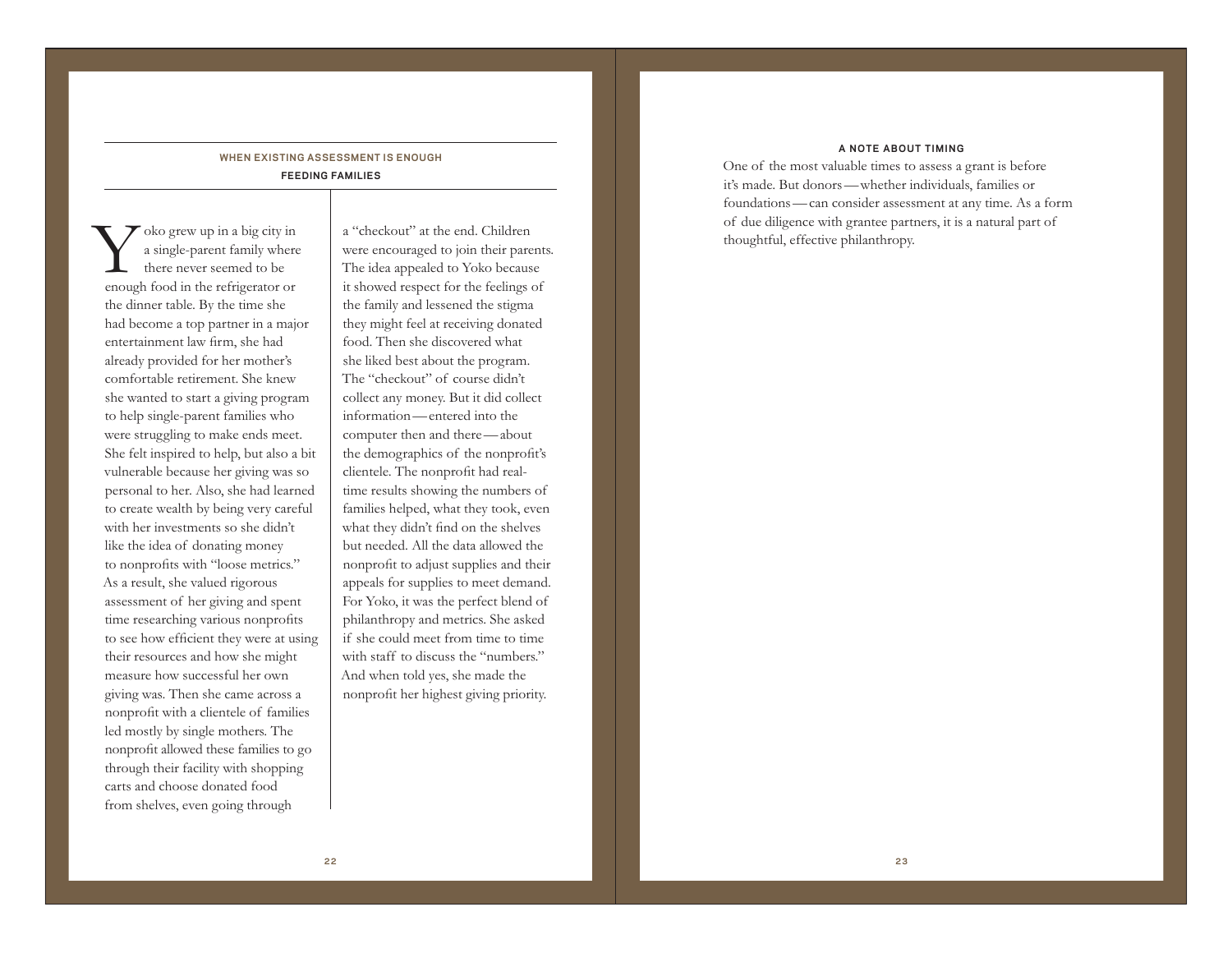# **WHEN EXISTING ASSESSMENT IS ENOUGH FEEDING FAMILIES**

Yoko grew up in a big city in a single-parent family where there never seemed to be enough food in the refrigerator or the dinner table. By the time she had become a top partner in a major entertainment law firm, she had already provided for her mother's comfortable retirement. She knew she wanted to start a giving program to help single-parent families who were struggling to make ends meet. She felt inspired to help, but also a bit vulnerable because her giving was so personal to her. Also, she had learned to create wealth by being very careful with her investments so she didn't like the idea of donating money to nonprofits with "loose metrics." As a result, she valued rigorous assessment of her giving and spent time researching various nonprofits to see how efficient they were at using their resources and how she might measure how successful her own giving was. Then she came across a nonprofit with a clientele of families led mostly by single mothers. The nonprofit allowed these families to go through their facility with shopping carts and choose donated food from shelves, even going through

<sup>a</sup>"checkout" at the end. Children were encouraged to join their parents. The idea appealed to Yoko because it showed respect for the feelings of the family and lessened the stigma they might feel at receiving donated food. Then she discovered what she liked best about the program. The "checkout" of course didn't collect any money. But it did collect information—entered into the computer then and there—about the demographics of the nonprofit's clientele. The nonprofit had realtime results showing the numbers of families helped, what they took, even what they didn't find on the shelves but needed. All the data allowed the nonprofit to adjust supplies and their appeals for supplies to meet demand. For Yoko, it was the perfect blend of philanthropy and metrics. She asked if she could meet from time to time with staff to discuss the "numbers." And when told yes, she made the nonprofit her highest giving priority.

### **A NOTE ABOUT T IM ING**

One of the most valuable times to assess a grant is before it's made. But donors—whether individuals, families or foundations—can consider assessment at any time. As a form of due diligence with grantee partners, it is a natural part of thoughtful, effective philanthropy.